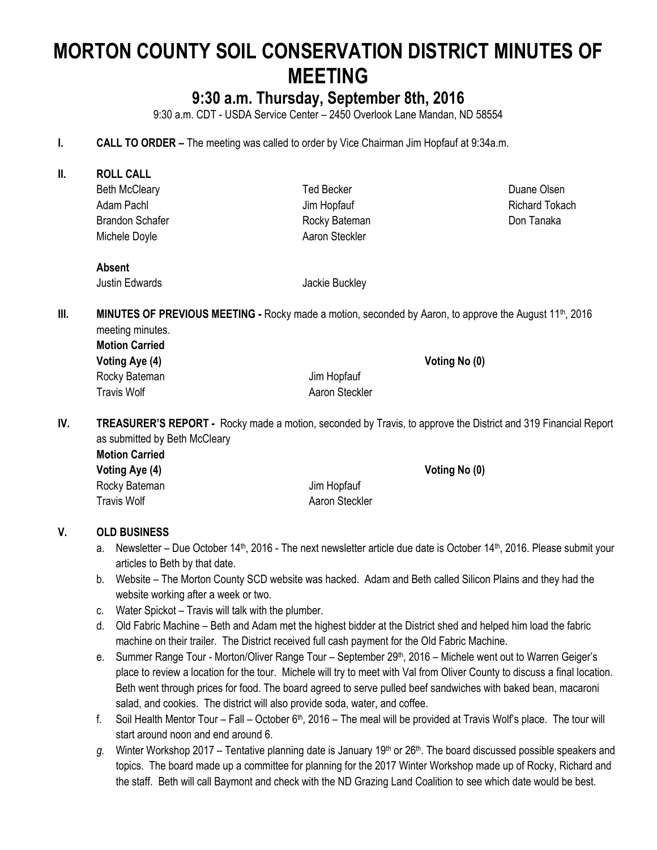# **MORTON COUNTY SOIL CONSERVATION DISTRICT MINUTES OF MEETING**

# **9:30 a.m. Thursday, September 8th, 2016**

9:30 a.m. CDT - USDA Service Center – 2450 Overlook Lane Mandan, ND 58554

- **I. CALL TO ORDER –** The meeting was called to order by Vice Chairman Jim Hopfauf at 9:34a.m.
- **II. ROLL CALL** Beth McCleary Adam Pachl Brandon Schafer Michele Doyle Ted Becker Jim Hopfauf Rocky Bateman Aaron Steckler Duane Olsen Richard Tokach Don Tanaka **Absent** Justin Edwards **Jackie Buckley III. MINUTES OF PREVIOUS MEETING -** Rocky made a motion, seconded by Aaron, to approve the August 11<sup>th</sup>, 2016 meeting minutes. **Motion Carried Voting Aye (4) Voting No (0)** Rocky Bateman **International Contract Contract Contract Contract Contract Contract Contract Contract Contract Contract Contract Contract Contract Contract Contract Contract Contract Contract Contract Contract Contract Cont** Travis Wolf **All Accord Aaron Steckler** Aaron Steckler

**IV. TREASURER'S REPORT -** Rocky made a motion, seconded by Travis, to approve the District and 319 Financial Report as submitted by Beth McCleary

| <b>Motion Carried</b> |                |
|-----------------------|----------------|
| Voting Aye (4)        |                |
| Rocky Bateman         | Jim Hopfauf    |
| Travis Wolf           | Aaron Steckler |

#### **V. OLD BUSINESS**

a. Newsletter – Due October 14<sup>th</sup>, 2016 - The next newsletter article due date is October 14<sup>th</sup>, 2016. Please submit your articles to Beth by that date.

**Voting No (0)** 

- b. Website The Morton County SCD website was hacked. Adam and Beth called Silicon Plains and they had the website working after a week or two.
- c. Water Spickot Travis will talk with the plumber.
- d. Old Fabric Machine Beth and Adam met the highest bidder at the District shed and helped him load the fabric machine on their trailer. The District received full cash payment for the Old Fabric Machine.
- e. Summer Range Tour Morton/Oliver Range Tour September 29th, 2016 Michele went out to Warren Geiger's place to review a location for the tour. Michele will try to meet with Val from Oliver County to discuss a final location. Beth went through prices for food. The board agreed to serve pulled beef sandwiches with baked bean, macaroni salad, and cookies. The district will also provide soda, water, and coffee.
- f. Soil Health Mentor Tour Fall October  $6<sup>th</sup>$ , 2016 The meal will be provided at Travis Wolf's place. The tour will start around noon and end around 6.
- g. Winter Workshop 2017 Tentative planning date is January 19<sup>th</sup> or 26<sup>th</sup>. The board discussed possible speakers and topics. The board made up a committee for planning for the 2017 Winter Workshop made up of Rocky, Richard and the staff. Beth will call Baymont and check with the ND Grazing Land Coalition to see which date would be best.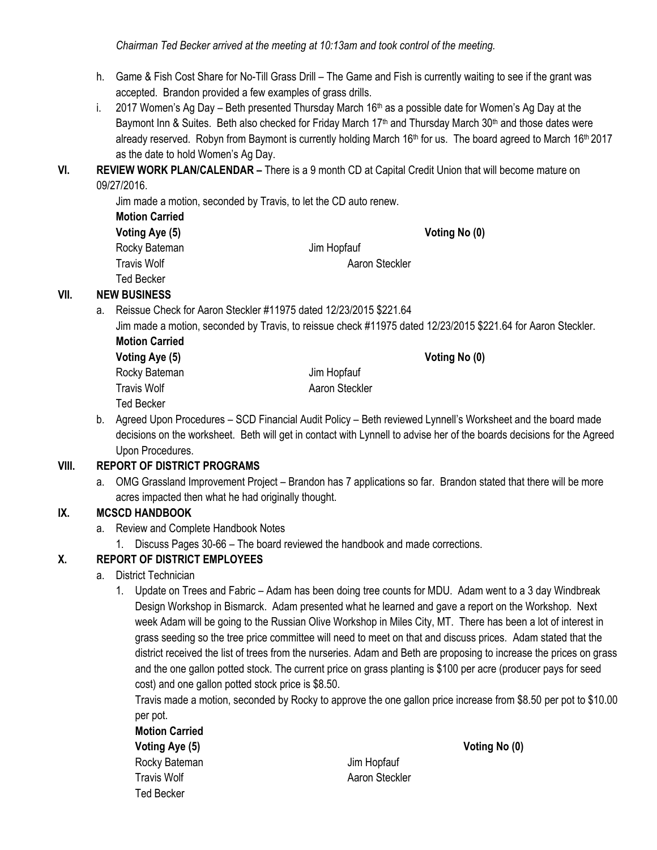*Chairman Ted Becker arrived at the meeting at 10:13am and took control of the meeting.* 

- h. Game & Fish Cost Share for No-Till Grass Drill The Game and Fish is currently waiting to see if the grant was accepted. Brandon provided a few examples of grass drills.
- i. 2017 Women's Ag Day Beth presented Thursday March 16<sup>th</sup> as a possible date for Women's Ag Day at the Baymont Inn & Suites. Beth also checked for Friday March 17<sup>th</sup> and Thursday March 30<sup>th</sup> and those dates were already reserved. Robyn from Baymont is currently holding March  $16<sup>th</sup>$  for us. The board agreed to March  $16<sup>th</sup> 2017$ as the date to hold Women's Ag Day.
- **VI. REVIEW WORK PLAN/CALENDAR –** There is a 9 month CD at Capital Credit Union that will become mature on 09/27/2016.

Jim made a motion, seconded by Travis, to let the CD auto renew. **Motion Carried Voting Aye (5) Voting No (0)** Rocky Bateman **International Contract Contract Contract Contract Contract Contract Contract Contract Contract Contract Contract Contract Contract Contract Contract Contract Contract Contract Contract Contract Contract Cont** Travis Wolf **Allen Access Aaron Steckler** Aaron Steckler Ted Becker

#### **VII. NEW BUSINESS**

a. Reissue Check for Aaron Steckler #11975 dated 12/23/2015 \$221.64 Jim made a motion, seconded by Travis, to reissue check #11975 dated 12/23/2015 \$221.64 for Aaron Steckler. **Motion Carried**

| Voting Aye (5) |                | Voting No (0) |
|----------------|----------------|---------------|
| Rocky Bateman  | Jim Hopfauf    |               |
| Travis Wolf    | Aaron Steckler |               |
| Ted Becker     |                |               |

b. Agreed Upon Procedures – SCD Financial Audit Policy – Beth reviewed Lynnell's Worksheet and the board made decisions on the worksheet. Beth will get in contact with Lynnell to advise her of the boards decisions for the Agreed Upon Procedures.

#### **VIII. REPORT OF DISTRICT PROGRAMS**

a. OMG Grassland Improvement Project – Brandon has 7 applications so far. Brandon stated that there will be more acres impacted then what he had originally thought.

#### **IX. MCSCD HANDBOOK**

- a. Review and Complete Handbook Notes
	- 1. Discuss Pages 30-66 The board reviewed the handbook and made corrections.

#### **X. REPORT OF DISTRICT EMPLOYEES**

- a. District Technician
	- 1. Update on Trees and Fabric Adam has been doing tree counts for MDU. Adam went to a 3 day Windbreak Design Workshop in Bismarck. Adam presented what he learned and gave a report on the Workshop. Next week Adam will be going to the Russian Olive Workshop in Miles City, MT. There has been a lot of interest in grass seeding so the tree price committee will need to meet on that and discuss prices. Adam stated that the district received the list of trees from the nurseries. Adam and Beth are proposing to increase the prices on grass and the one gallon potted stock. The current price on grass planting is \$100 per acre (producer pays for seed cost) and one gallon potted stock price is \$8.50.

Travis made a motion, seconded by Rocky to approve the one gallon price increase from \$8.50 per pot to \$10.00 per pot.

#### **Motion Carried Voting Aye (5) Voting No (0)** Rocky Bateman **International Contract Contract Contract Contract Contract Contract Contract Contract Contract Contract Contract Contract Contract Contract Contract Contract Contract Contract Contract Contract Contract Cont** Travis Wolf **Aaron Steckler** Aaron Steckler Ted Becker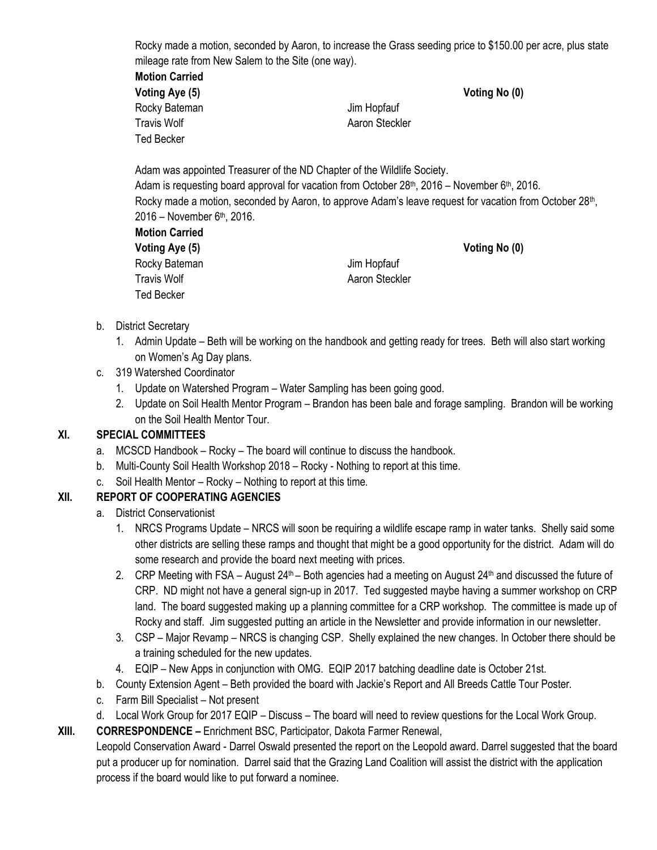Rocky made a motion, seconded by Aaron, to increase the Grass seeding price to \$150.00 per acre, plus state mileage rate from New Salem to the Site (one way).

| <b>Motion Carried</b> |
|-----------------------|
| Voting Aye (5)        |
| Rocky Bateman         |
| <b>Travis Wolf</b>    |
| Ted Becker            |

Jim Hopfauf Aaron Steckler

Adam was appointed Treasurer of the ND Chapter of the Wildlife Society. Adam is requesting board approval for vacation from October  $28<sup>th</sup>$ ,  $2016$  – November  $6<sup>th</sup>$ ,  $2016$ . Rocky made a motion, seconded by Aaron, to approve Adam's leave request for vacation from October 28<sup>th</sup>,

2016 – November 6th, 2016. **Motion Carried Voting Aye (5) Voting No (0)** Rocky Bateman and The United States and States and Jim Hopfauf Travis Wolf **Allen Accepts** Aaron Steckler Ted Becker

**Voting Aye (5) Voting No (0)**

- b. District Secretary
	- 1. Admin Update Beth will be working on the handbook and getting ready for trees. Beth will also start working on Women's Ag Day plans.
- c. 319 Watershed Coordinator
	- 1. Update on Watershed Program Water Sampling has been going good.
	- 2. Update on Soil Health Mentor Program Brandon has been bale and forage sampling. Brandon will be working on the Soil Health Mentor Tour.

## **XI. SPECIAL COMMITTEES**

- a. MCSCD Handbook Rocky The board will continue to discuss the handbook.
- b. Multi-County Soil Health Workshop 2018 Rocky Nothing to report at this time.
- c. Soil Health Mentor Rocky Nothing to report at this time.

## **XII. REPORT OF COOPERATING AGENCIES**

- a. District Conservationist
	- 1. NRCS Programs Update NRCS will soon be requiring a wildlife escape ramp in water tanks. Shelly said some other districts are selling these ramps and thought that might be a good opportunity for the district. Adam will do some research and provide the board next meeting with prices.
	- 2. CRP Meeting with FSA August  $24<sup>th</sup>$  Both agencies had a meeting on August  $24<sup>th</sup>$  and discussed the future of CRP. ND might not have a general sign-up in 2017. Ted suggested maybe having a summer workshop on CRP land. The board suggested making up a planning committee for a CRP workshop. The committee is made up of Rocky and staff. Jim suggested putting an article in the Newsletter and provide information in our newsletter.
	- 3. CSP Major Revamp NRCS is changing CSP. Shelly explained the new changes. In October there should be a training scheduled for the new updates.
	- 4. EQIP New Apps in conjunction with OMG. EQIP 2017 batching deadline date is October 21st.
- b. County Extension Agent Beth provided the board with Jackie's Report and All Breeds Cattle Tour Poster.
- c. Farm Bill Specialist Not present
- d. Local Work Group for 2017 EQIP Discuss The board will need to review questions for the Local Work Group.

**XIII. CORRESPONDENCE –** Enrichment BSC, Participator, Dakota Farmer Renewal,

Leopold Conservation Award - Darrel Oswald presented the report on the Leopold award. Darrel suggested that the board put a producer up for nomination. Darrel said that the Grazing Land Coalition will assist the district with the application process if the board would like to put forward a nominee.